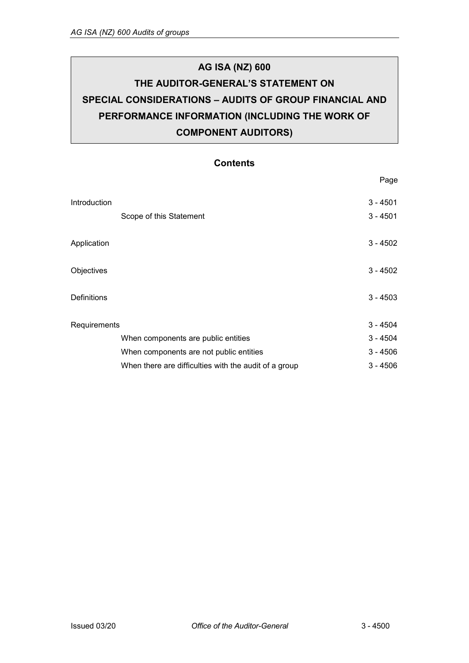# **AG ISA (NZ) 600 THE AUDITOR-GENERAL'S STATEMENT ON SPECIAL CONSIDERATIONS – AUDITS OF GROUP FINANCIAL AND PERFORMANCE INFORMATION (INCLUDING THE WORK OF COMPONENT AUDITORS)**

### **Contents**

|                    |                                                       | Page       |
|--------------------|-------------------------------------------------------|------------|
| Introduction       |                                                       | $3 - 4501$ |
|                    | Scope of this Statement                               | $3 - 4501$ |
| Application        |                                                       | $3 - 4502$ |
| Objectives         |                                                       | $3 - 4502$ |
| <b>Definitions</b> |                                                       | $3 - 4503$ |
| Requirements       |                                                       | $3 - 4504$ |
|                    | When components are public entities                   | $3 - 4504$ |
|                    | When components are not public entities               | $3 - 4506$ |
|                    | When there are difficulties with the audit of a group | $3 - 4506$ |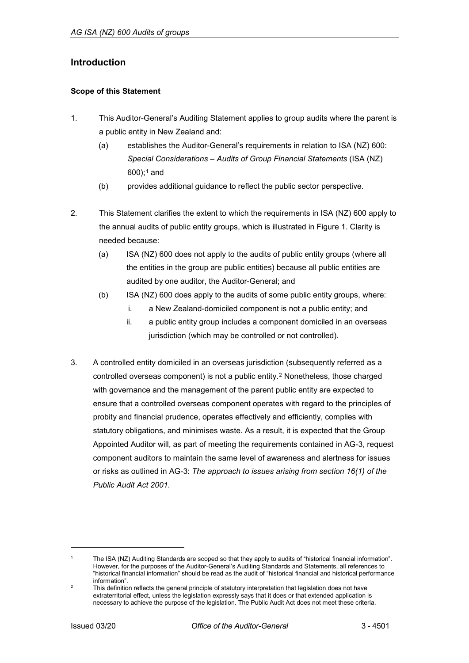### <span id="page-1-0"></span>**Introduction**

#### <span id="page-1-1"></span>**Scope of this Statement**

- 1. This Auditor-General's Auditing Statement applies to group audits where the parent is a public entity in New Zealand and:
	- (a) establishes the Auditor-General's requirements in relation to ISA (NZ) 600: *Special Considerations – Audits of Group Financial Statements* (ISA (NZ)  $600$ ;<sup>[1](#page-1-3)</sup> and
	- (b) provides additional guidance to reflect the public sector perspective.
- 2. This Statement clarifies the extent to which the requirements in ISA (NZ) 600 apply to the annual audits of public entity groups, which is illustrated in Figure 1. Clarity is needed because:
	- (a) ISA (NZ) 600 does not apply to the audits of public entity groups (where all the entities in the group are public entities) because all public entities are audited by one auditor, the Auditor-General; and
	- (b) ISA (NZ) 600 does apply to the audits of some public entity groups, where:
		- i. a New Zealand-domiciled component is not a public entity; and
		- ii. a public entity group includes a component domiciled in an overseas jurisdiction (which may be controlled or not controlled).
- 3. A controlled entity domiciled in an overseas jurisdiction (subsequently referred as a controlled overseas component) is not a public entity.[2](#page-1-4) Nonetheless, those charged with governance and the management of the parent public entity are expected to ensure that a controlled overseas component operates with regard to the principles of probity and financial prudence, operates effectively and efficiently, complies with statutory obligations, and minimises waste. As a result, it is expected that the Group Appointed Auditor will, as part of meeting the requirements contained in AG-3, request component auditors to maintain the same level of awareness and alertness for issues or risks as outlined in AG-3: *The approach to issues arising from section 16(1) of the Public Audit Act 2001*.

<span id="page-1-2"></span>j

<span id="page-1-3"></span>The ISA (NZ) Auditing Standards are scoped so that they apply to audits of "historical financial information". However, for the purposes of the Auditor-General's Auditing Standards and Statements, all references to "historical financial information" should be read as the audit of "historical financial and historical performance information".

<span id="page-1-4"></span><sup>&</sup>lt;sup>2</sup> This definition reflects the general principle of statutory interpretation that legislation does not have extraterritorial effect, unless the legislation expressly says that it does or that extended application is necessary to achieve the purpose of the legislation. The Public Audit Act does not meet these criteria.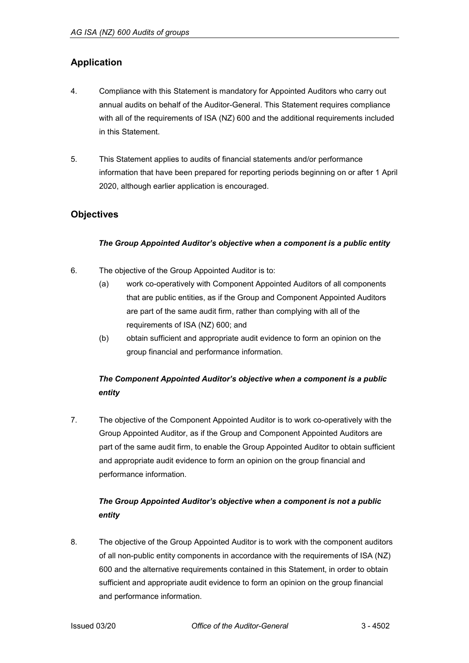## **Application**

- 4. Compliance with this Statement is mandatory for Appointed Auditors who carry out annual audits on behalf of the Auditor-General. This Statement requires compliance with all of the requirements of ISA (NZ) 600 and the additional requirements included in this Statement.
- 5. This Statement applies to audits of financial statements and/or performance information that have been prepared for reporting periods beginning on or after 1 April 2020, although earlier application is encouraged.

### <span id="page-2-0"></span>**Objectives**

#### *The Group Appointed Auditor's objective when a component is a public entity*

- 6. The objective of the Group Appointed Auditor is to:
	- (a) work co-operatively with Component Appointed Auditors of all components that are public entities, as if the Group and Component Appointed Auditors are part of the same audit firm, rather than complying with all of the requirements of ISA (NZ) 600; and
	- (b) obtain sufficient and appropriate audit evidence to form an opinion on the group financial and performance information.

# *The Component Appointed Auditor's objective when a component is a public entity*

7. The objective of the Component Appointed Auditor is to work co-operatively with the Group Appointed Auditor, as if the Group and Component Appointed Auditors are part of the same audit firm, to enable the Group Appointed Auditor to obtain sufficient and appropriate audit evidence to form an opinion on the group financial and performance information.

# *The Group Appointed Auditor's objective when a component is not a public entity*

8. The objective of the Group Appointed Auditor is to work with the component auditors of all non-public entity components in accordance with the requirements of ISA (NZ) 600 and the alternative requirements contained in this Statement, in order to obtain sufficient and appropriate audit evidence to form an opinion on the group financial and performance information.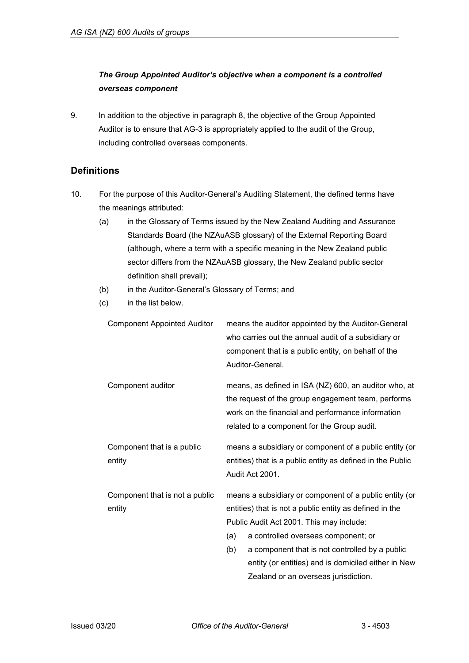### *The Group Appointed Auditor's objective when a component is a controlled overseas component*

9. In addition to the objective in paragraph 8, the objective of the Group Appointed Auditor is to ensure that AG-3 is appropriately applied to the audit of the Group, including controlled overseas components.

### <span id="page-3-0"></span>**Definitions**

- 10. For the purpose of this Auditor-General's Auditing Statement, the defined terms have the meanings attributed:
	- (a) in the Glossary of Terms issued by the New Zealand Auditing and Assurance Standards Board (the NZAuASB glossary) of the External Reporting Board (although, where a term with a specific meaning in the New Zealand public sector differs from the NZAuASB glossary, the New Zealand public sector definition shall prevail);
	- (b) in the Auditor-General's Glossary of Terms; and
	- (c) in the list below.

| <b>Component Appointed Auditor</b> |                                                                               | means the auditor appointed by the Auditor-General<br>who carries out the annual audit of a subsidiary or<br>component that is a public entity, on behalf of the<br>Auditor-General.                            |  |
|------------------------------------|-------------------------------------------------------------------------------|-----------------------------------------------------------------------------------------------------------------------------------------------------------------------------------------------------------------|--|
| Component auditor                  |                                                                               | means, as defined in ISA (NZ) 600, an auditor who, at<br>the request of the group engagement team, performs<br>work on the financial and performance information<br>related to a component for the Group audit. |  |
| Component that is a public         |                                                                               | means a subsidiary or component of a public entity (or                                                                                                                                                          |  |
| entity                             | entities) that is a public entity as defined in the Public<br>Audit Act 2001. |                                                                                                                                                                                                                 |  |
| Component that is not a public     | means a subsidiary or component of a public entity (or                        |                                                                                                                                                                                                                 |  |
| entity                             | entities) that is not a public entity as defined in the                       |                                                                                                                                                                                                                 |  |
|                                    | Public Audit Act 2001. This may include:                                      |                                                                                                                                                                                                                 |  |
|                                    | (a)                                                                           | a controlled overseas component; or                                                                                                                                                                             |  |
|                                    | (b)                                                                           | a component that is not controlled by a public                                                                                                                                                                  |  |
|                                    |                                                                               | entity (or entities) and is domiciled either in New                                                                                                                                                             |  |
|                                    |                                                                               | Zealand or an overseas jurisdiction.                                                                                                                                                                            |  |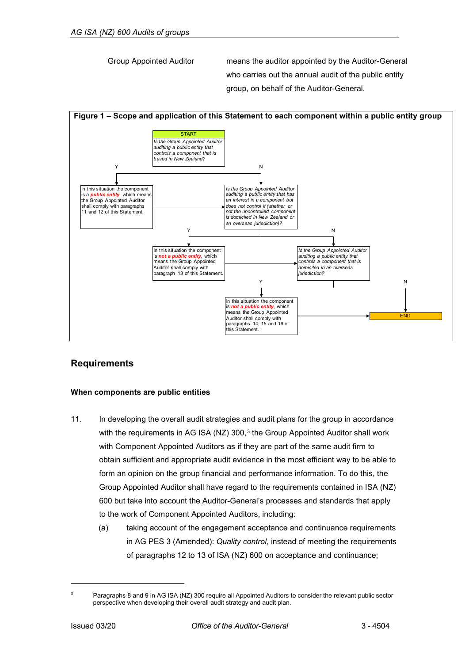Group Appointed Auditor means the auditor appointed by the Auditor-General who carries out the annual audit of the public entity group, on behalf of the Auditor-General.



### <span id="page-4-0"></span>**Requirements**

#### <span id="page-4-1"></span>**When components are public entities**

- 11. In developing the overall audit strategies and audit plans for the group in accordance with the requirements in AG ISA (NZ) [3](#page-4-2)00,<sup>3</sup> the Group Appointed Auditor shall work with Component Appointed Auditors as if they are part of the same audit firm to obtain sufficient and appropriate audit evidence in the most efficient way to be able to form an opinion on the group financial and performance information. To do this, the Group Appointed Auditor shall have regard to the requirements contained in ISA (NZ) 600 but take into account the Auditor-General's processes and standards that apply to the work of Component Appointed Auditors, including:
	- (a) taking account of the engagement acceptance and continuance requirements in AG PES 3 (Amended): *Quality control*, instead of meeting the requirements of paragraphs 12 to 13 of ISA (NZ) 600 on acceptance and continuance;

j

<span id="page-4-2"></span><sup>3</sup> Paragraphs 8 and 9 in AG ISA (NZ) 300 require all Appointed Auditors to consider the relevant public sector perspective when developing their overall audit strategy and audit plan.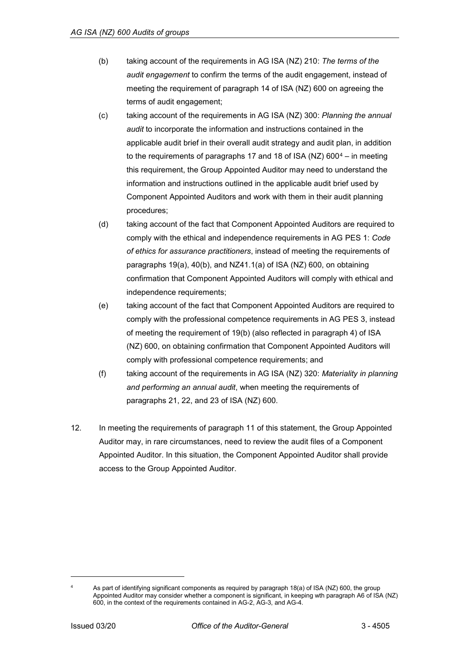- (b) taking account of the requirements in AG ISA (NZ) 210: *The terms of the audit engagement* to confirm the terms of the audit engagement, instead of meeting the requirement of paragraph 14 of ISA (NZ) 600 on agreeing the terms of audit engagement;
- (c) taking account of the requirements in AG ISA (NZ) 300: *Planning the annual audit* to incorporate the information and instructions contained in the applicable audit brief in their overall audit strategy and audit plan, in addition to the requirements of paragraphs 17 and 18 of ISA (NZ)  $600^4$  $600^4$  – in meeting this requirement, the Group Appointed Auditor may need to understand the information and instructions outlined in the applicable audit brief used by Component Appointed Auditors and work with them in their audit planning procedures;
- (d) taking account of the fact that Component Appointed Auditors are required to comply with the ethical and independence requirements in AG PES 1: *Code of ethics for assurance practitioners*, instead of meeting the requirements of paragraphs 19(a), 40(b), and NZ41.1(a) of ISA (NZ) 600, on obtaining confirmation that Component Appointed Auditors will comply with ethical and independence requirements;
- (e) taking account of the fact that Component Appointed Auditors are required to comply with the professional competence requirements in AG PES 3, instead of meeting the requirement of 19(b) (also reflected in paragraph 4) of ISA (NZ) 600, on obtaining confirmation that Component Appointed Auditors will comply with professional competence requirements; and
- (f) taking account of the requirements in AG ISA (NZ) 320: *Materiality in planning and performing an annual audit*, when meeting the requirements of paragraphs 21, 22, and 23 of ISA (NZ) 600.
- <span id="page-5-0"></span>12. In meeting the requirements of paragraph 11 of this statement, the Group Appointed Auditor may, in rare circumstances, need to review the audit files of a Component Appointed Auditor. In this situation, the Component Appointed Auditor shall provide access to the Group Appointed Auditor.

-

<span id="page-5-1"></span>As part of identifying significant components as required by paragraph 18(a) of ISA (NZ) 600, the group Appointed Auditor may consider whether a component is significant, in keeping wth paragraph A6 of ISA (NZ) 600, in the context of the requirements contained in AG-2, AG-3, and AG-4.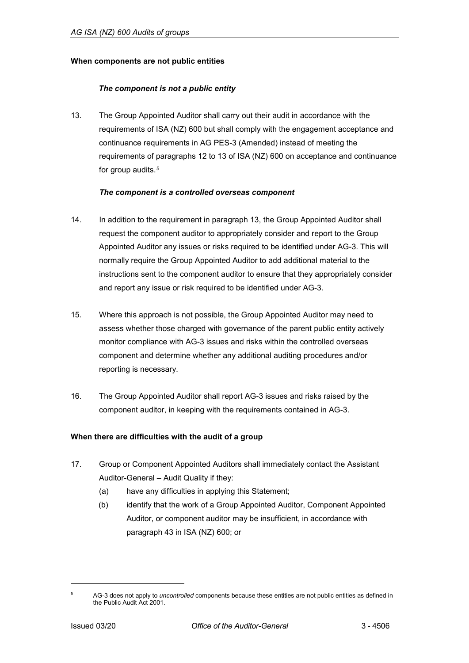#### **When components are not public entities**

#### *The component is not a public entity*

13. The Group Appointed Auditor shall carry out their audit in accordance with the requirements of ISA (NZ) 600 but shall comply with the engagement acceptance and continuance requirements in AG PES-3 (Amended) instead of meeting the requirements of paragraphs 12 to 13 of ISA (NZ) 600 on acceptance and continuance for group audits.<sup>[5](#page-6-1)</sup>

#### *The component is a controlled overseas component*

- 14. In addition to the requirement in paragraph 13, the Group Appointed Auditor shall request the component auditor to appropriately consider and report to the Group Appointed Auditor any issues or risks required to be identified under AG-3. This will normally require the Group Appointed Auditor to add additional material to the instructions sent to the component auditor to ensure that they appropriately consider and report any issue or risk required to be identified under AG-3.
- 15. Where this approach is not possible, the Group Appointed Auditor may need to assess whether those charged with governance of the parent public entity actively monitor compliance with AG-3 issues and risks within the controlled overseas component and determine whether any additional auditing procedures and/or reporting is necessary.
- 16. The Group Appointed Auditor shall report AG-3 issues and risks raised by the component auditor, in keeping with the requirements contained in AG-3.

#### <span id="page-6-0"></span>**When there are difficulties with the audit of a group**

- 17. Group or Component Appointed Auditors shall immediately contact the Assistant Auditor-General – Audit Quality if they:
	- (a) have any difficulties in applying this Statement;
	- (b) identify that the work of a Group Appointed Auditor, Component Appointed Auditor, or component auditor may be insufficient, in accordance with paragraph 43 in ISA (NZ) 600; or

j

<span id="page-6-1"></span><sup>5</sup> AG-3 does not apply to *uncontrolled* components because these entities are not public entities as defined in the Public Audit Act 2001.